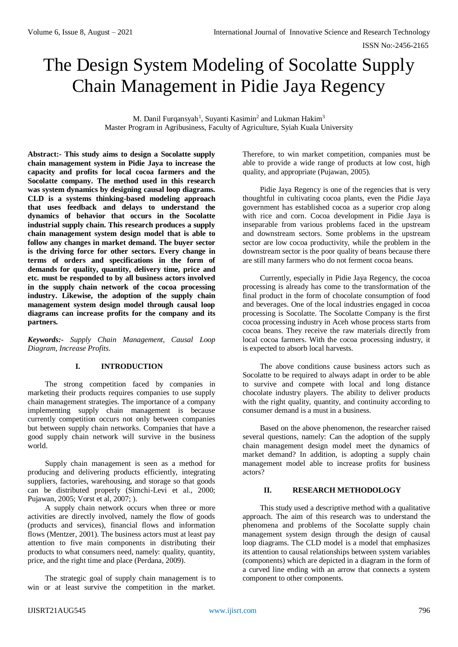ISSN No:-2456-2165

# The Design System Modeling of Socolatte Supply Chain Management in Pidie Jaya Regency

M. Danil Furqansyah<sup>1</sup>, Suyanti Kasimin<sup>2</sup> and Lukman Hakim<sup>3</sup> Master Program in Agribusiness, Faculty of Agriculture, Syiah Kuala University

**Abstract:- This study aims to design a Socolatte supply chain management system in Pidie Jaya to increase the capacity and profits for local cocoa farmers and the Socolatte company. The method used in this research was system dynamics by designing causal loop diagrams. CLD is a systems thinking-based modeling approach that uses feedback and delays to understand the dynamics of behavior that occurs in the Socolatte industrial supply chain. This research produces a supply chain management system design model that is able to follow any changes in market demand. The buyer sector is the driving force for other sectors. Every change in terms of orders and specifications in the form of demands for quality, quantity, delivery time, price and etc. must be responded to by all business actors involved in the supply chain network of the cocoa processing industry. Likewise, the adoption of the supply chain management system design model through causal loop diagrams can increase profits for the company and its partners.**

*Keywords:- Supply Chain Management, Causal Loop Diagram, Increase Profits.*

# **I. INTRODUCTION**

The strong competition faced by companies in marketing their products requires companies to use supply chain management strategies. The importance of a company implementing supply chain management is because currently competition occurs not only between companies but between supply chain networks. Companies that have a good supply chain network will survive in the business world.

Supply chain management is seen as a method for producing and delivering products efficiently, integrating suppliers, factories, warehousing, and storage so that goods can be distributed properly (Simchi-Levi et al., 2000; Pujawan, 2005; Vorst et al, 2007; ).

A supply chain network occurs when three or more activities are directly involved, namely the flow of goods (products and services), financial flows and information flows (Mentzer, 2001). The business actors must at least pay attention to five main components in distributing their products to what consumers need, namely: quality, quantity, price, and the right time and place (Perdana, 2009).

The strategic goal of supply chain management is to win or at least survive the competition in the market.

Therefore, to win market competition, companies must be able to provide a wide range of products at low cost, high quality, and appropriate (Pujawan, 2005).

Pidie Jaya Regency is one of the regencies that is very thoughtful in cultivating cocoa plants, even the Pidie Jaya government has established cocoa as a superior crop along with rice and corn. Cocoa development in Pidie Jaya is inseparable from various problems faced in the upstream and downstream sectors. Some problems in the upstream sector are low cocoa productivity, while the problem in the downstream sector is the poor quality of beans because there are still many farmers who do not ferment cocoa beans.

Currently, especially in Pidie Jaya Regency, the cocoa processing is already has come to the transformation of the final product in the form of chocolate consumption of food and beverages. One of the local industries engaged in cocoa processing is Socolatte. The Socolatte Company is the first cocoa processing industry in Aceh whose process starts from cocoa beans. They receive the raw materials directly from local cocoa farmers. With the cocoa processing industry, it is expected to absorb local harvests.

The above conditions cause business actors such as Socolatte to be required to always adapt in order to be able to survive and compete with local and long distance chocolate industry players. The ability to deliver products with the right quality, quantity, and continuity according to consumer demand is a must in a business.

Based on the above phenomenon, the researcher raised several questions, namely: Can the adoption of the supply chain management design model meet the dynamics of market demand? In addition, is adopting a supply chain management model able to increase profits for business actors?

## **II. RESEARCH METHODOLOGY**

This study used a descriptive method with a qualitative approach. The aim of this research was to understand the phenomena and problems of the Socolatte supply chain management system design through the design of causal loop diagrams. The CLD model is a model that emphasizes its attention to causal relationships between system variables (components) which are depicted in a diagram in the form of a curved line ending with an arrow that connects a system component to other components.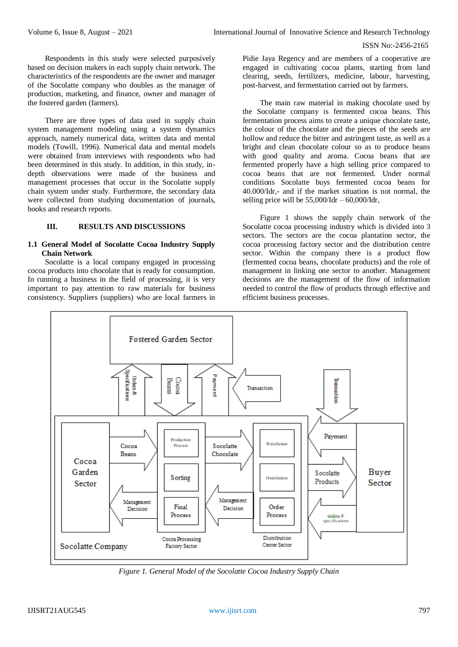Respondents in this study were selected purposively based on decision makers in each supply chain network. The characteristics of the respondents are the owner and manager of the Socolatte company who doubles as the manager of production, marketing, and finance, owner and manager of the fostered garden (farmers).

There are three types of data used in supply chain system management modeling using a system dynamics approach, namely numerical data, written data and mental models (Towill, 1996). Numerical data and mental models were obtained from interviews with respondents who had been determined in this study. In addition, in this study, indepth observations were made of the business and management processes that occur in the Socolatte supply chain system under study. Furthermore, the secondary data were collected from studying documentation of journals, books and research reports.

#### **III. RESULTS AND DISCUSSIONS**

#### **1.1 General Model of Socolatte Cocoa Industry Supply Chain Network**

Socolatte is a local company engaged in processing cocoa products into chocolate that is ready for consumption. In running a business in the field of processing, it is very important to pay attention to raw materials for business consistency. Suppliers (suppliers) who are local farmers in

Pidie Jaya Regency and are members of a cooperative are engaged in cultivating cocoa plants, starting from land clearing, seeds, fertilizers, medicine, labour, harvesting, post-harvest, and fermentation carried out by farmers.

The main raw material in making chocolate used by the Socolatte company is fermented cocoa beans. This fermentation process aims to create a unique chocolate taste, the colour of the chocolate and the pieces of the seeds are hollow and reduce the bitter and astringent taste, as well as a bright and clean chocolate colour so as to produce beans with good quality and aroma. Cocoa beans that are fermented properly have a high selling price compared to cocoa beans that are not fermented. Under normal conditions Socolatte buys fermented cocoa beans for 40.000/Idr,- and if the market situation is not normal, the selling price will be  $55,000$ /Idr –  $60,000$ /Idr,

Figure 1 shows the supply chain network of the Socolatte cocoa processing industry which is divided into 3 sectors. The sectors are the cocoa plantation sector, the cocoa processing factory sector and the distribution centre sector. Within the company there is a product flow (fermented cocoa beans, chocolate products) and the role of management in linking one sector to another. Management decisions are the management of the flow of information needed to control the flow of products through effective and efficient business processes.



*Figure 1. General Model of the Socolatte Cocoa Industry Supply Chain*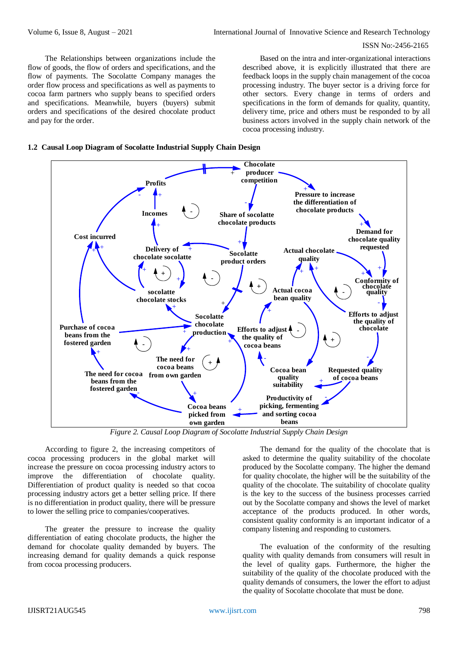#### ISSN No:-2456-2165

The Relationships between organizations include the flow of goods, the flow of orders and specifications, and the flow of payments. The Socolatte Company manages the order flow process and specifications as well as payments to cocoa farm partners who supply beans to specified orders and specifications. Meanwhile, buyers (buyers) submit orders and specifications of the desired chocolate product and pay for the order.

Based on the intra and inter-organizational interactions described above, it is explicitly illustrated that there are feedback loops in the supply chain management of the cocoa processing industry. The buyer sector is a driving force for other sectors. Every change in terms of orders and specifications in the form of demands for quality, quantity, delivery time, price and others must be responded to by all business actors involved in the supply chain network of the cocoa processing industry.





*Figure 2. Causal Loop Diagram of Socolatte Industrial Supply Chain Design*

According to figure 2, the increasing competitors of cocoa processing producers in the global market will increase the pressure on cocoa processing industry actors to improve the differentiation of chocolate quality. Differentiation of product quality is needed so that cocoa processing industry actors get a better selling price. If there is no differentiation in product quality, there will be pressure to lower the selling price to companies/cooperatives.

The greater the pressure to increase the quality differentiation of eating chocolate products, the higher the demand for chocolate quality demanded by buyers. The increasing demand for quality demands a quick response from cocoa processing producers.

The demand for the quality of the chocolate that is asked to determine the quality suitability of the chocolate produced by the Socolatte company. The higher the demand for quality chocolate, the higher will be the suitability of the quality of the chocolate. The suitability of chocolate quality is the key to the success of the business processes carried out by the Socolatte company and shows the level of market acceptance of the products produced. In other words, consistent quality conformity is an important indicator of a company listening and responding to customers.

The evaluation of the conformity of the resulting quality with quality demands from consumers will result in the level of quality gaps. Furthermore, the higher the suitability of the quality of the chocolate produced with the quality demands of consumers, the lower the effort to adjust the quality of Socolatte chocolate that must be done.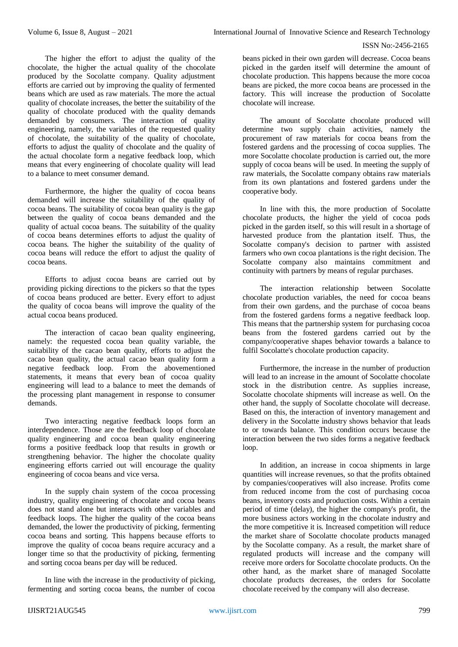The higher the effort to adjust the quality of the chocolate, the higher the actual quality of the chocolate produced by the Socolatte company. Quality adjustment efforts are carried out by improving the quality of fermented beans which are used as raw materials. The more the actual quality of chocolate increases, the better the suitability of the quality of chocolate produced with the quality demands demanded by consumers. The interaction of quality engineering, namely, the variables of the requested quality of chocolate, the suitability of the quality of chocolate, efforts to adjust the quality of chocolate and the quality of the actual chocolate form a negative feedback loop, which means that every engineering of chocolate quality will lead to a balance to meet consumer demand.

Furthermore, the higher the quality of cocoa beans demanded will increase the suitability of the quality of cocoa beans. The suitability of cocoa bean quality is the gap between the quality of cocoa beans demanded and the quality of actual cocoa beans. The suitability of the quality of cocoa beans determines efforts to adjust the quality of cocoa beans. The higher the suitability of the quality of cocoa beans will reduce the effort to adjust the quality of cocoa beans.

Efforts to adjust cocoa beans are carried out by providing picking directions to the pickers so that the types of cocoa beans produced are better. Every effort to adjust the quality of cocoa beans will improve the quality of the actual cocoa beans produced.

The interaction of cacao bean quality engineering, namely: the requested cocoa bean quality variable, the suitability of the cacao bean quality, efforts to adjust the cacao bean quality, the actual cacao bean quality form a negative feedback loop. From the abovementioned statements, it means that every bean of cocoa quality engineering will lead to a balance to meet the demands of the processing plant management in response to consumer demands.

Two interacting negative feedback loops form an interdependence. Those are the feedback loop of chocolate quality engineering and cocoa bean quality engineering forms a positive feedback loop that results in growth or strengthening behavior. The higher the chocolate quality engineering efforts carried out will encourage the quality engineering of cocoa beans and vice versa.

In the supply chain system of the cocoa processing industry, quality engineering of chocolate and cocoa beans does not stand alone but interacts with other variables and feedback loops. The higher the quality of the cocoa beans demanded, the lower the productivity of picking, fermenting cocoa beans and sorting. This happens because efforts to improve the quality of cocoa beans require accuracy and a longer time so that the productivity of picking, fermenting and sorting cocoa beans per day will be reduced.

In line with the increase in the productivity of picking, fermenting and sorting cocoa beans, the number of cocoa

The amount of Socolatte chocolate produced will determine two supply chain activities, namely the procurement of raw materials for cocoa beans from the fostered gardens and the processing of cocoa supplies. The more Socolatte chocolate production is carried out, the more supply of cocoa beans will be used. In meeting the supply of raw materials, the Socolatte company obtains raw materials from its own plantations and fostered gardens under the cooperative body.

In line with this, the more production of Socolatte chocolate products, the higher the yield of cocoa pods picked in the garden itself, so this will result in a shortage of harvested produce from the plantation itself. Thus, the Socolatte company's decision to partner with assisted farmers who own cocoa plantations is the right decision. The Socolatte company also maintains commitment and continuity with partners by means of regular purchases.

The interaction relationship between Socolatte chocolate production variables, the need for cocoa beans from their own gardens, and the purchase of cocoa beans from the fostered gardens forms a negative feedback loop. This means that the partnership system for purchasing cocoa beans from the fostered gardens carried out by the company/cooperative shapes behavior towards a balance to fulfil Socolatte's chocolate production capacity.

Furthermore, the increase in the number of production will lead to an increase in the amount of Socolatte chocolate stock in the distribution centre. As supplies increase, Socolatte chocolate shipments will increase as well. On the other hand, the supply of Socolatte chocolate will decrease. Based on this, the interaction of inventory management and delivery in the Socolatte industry shows behavior that leads to or towards balance. This condition occurs because the interaction between the two sides forms a negative feedback loop.

In addition, an increase in cocoa shipments in large quantities will increase revenues, so that the profits obtained by companies/cooperatives will also increase. Profits come from reduced income from the cost of purchasing cocoa beans, inventory costs and production costs. Within a certain period of time (delay), the higher the company's profit, the more business actors working in the chocolate industry and the more competitive it is. Increased competition will reduce the market share of Socolatte chocolate products managed by the Socolatte company. As a result, the market share of regulated products will increase and the company will receive more orders for Socolatte chocolate products. On the other hand, as the market share of managed Socolatte chocolate products decreases, the orders for Socolatte chocolate received by the company will also decrease.